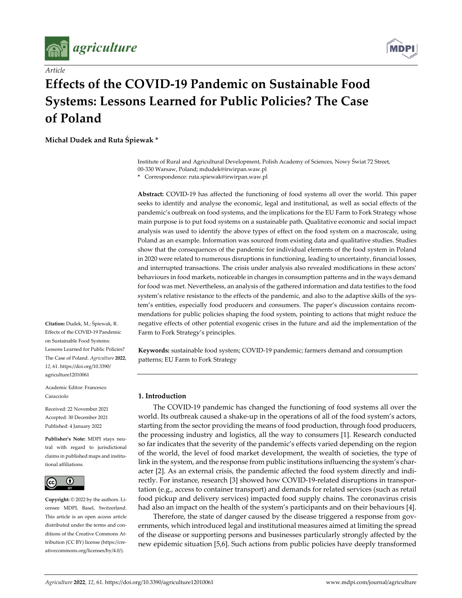

*Article*



# **Effects of the COVID‐19 Pandemic on Sustainable Food Systems: Lessons Learned for Public Policies? The Case of Poland**

**Michał Dudek and Ruta Śpiewak \***

Institute of Rural and Agricultural Development, Polish Academy of Sciences, Nowy Świat 72 Street, 00‐330 Warsaw, Poland; mdudek@irwirpan.waw.pl

**\*** Correspondence: ruta.spiewak@irwirpan.waw.pl

**Abstract:** COVID‐19 has affected the functioning of food systems all over the world. This paper seeks to identify and analyse the economic, legal and institutional, as well as social effects of the pandemic's outbreak on food systems, and the implications for the EU Farm to Fork Strategy whose main purpose is to put food systems on a sustainable path. Qualitative economic and social impact analysis was used to identify the above types of effect on the food system on a macroscale, using Poland as an example. Information was sourced from existing data and qualitative studies. Studies show that the consequences of the pandemic for individual elements of the food system in Poland in 2020 were related to numerous disruptions in functioning, leading to uncertainty, financial losses, and interrupted transactions. The crisis under analysis also revealed modifications in these actors' behaviours in food markets, noticeable in changes in consumption patterns and in the ways demand for food was met. Nevertheless, an analysis of the gathered information and data testifies to the food system's relative resistance to the effects of the pandemic, and also to the adaptive skills of the system's entities, especially food producers and consumers. The paper's discussion contains recommendations for public policies shaping the food system, pointing to actions that might reduce the negative effects of other potential exogenic crises in the future and aid the implementation of the Farm to Fork Strategy's principles.

**Keywords:** sustainable food system; COVID‐19 pandemic; farmers demand and consumption patterns; EU Farm to Fork Strategy

#### **1. Introduction**

The COVID‐19 pandemic has changed the functioning of food systems all over the world. Its outbreak caused a shake-up in the operations of all of the food system's actors, starting from the sector providing the means of food production, through food producers, the processing industry and logistics, all the way to consumers [1]. Research conducted so far indicates that the severity of the pandemic's effects varied depending on the region of the world, the level of food market development, the wealth of societies, the type of link in the system, and the response from public institutions influencing the system's character [2]. As an external crisis, the pandemic affected the food system directly and indirectly. For instance, research [3] showed how COVID‐19‐related disruptions in transpor‐ tation (e.g., access to container transport) and demands for related services (such as retail food pickup and delivery services) impacted food supply chains. The coronavirus crisis had also an impact on the health of the system's participants and on their behaviours [4].

Therefore, the state of danger caused by the disease triggered a response from governments, which introduced legal and institutional measures aimed at limiting the spread of the disease or supporting persons and businesses particularly strongly affected by the new epidemic situation [5,6]. Such actions from public policies have deeply transformed

**Citation:** Dudek, M.; Śpiewak, R. Effects of the COVID‐19 Pandemic on Sustainable Food Systems: Lessons Learned for Public Policies? The Case of Poland. *Agriculture* **2022**, *12*, 61. https://doi.org/10.3390/ agriculture12010061

Academic Editor: Francesco Caracciolo

Received: 22 November 2021 Accepted: 30 December 2021 Published: 4 January 2022

**Publisher's Note:** MDPI stays neu‐ tral with regard to jurisdictional claims in published maps and institu‐ tional affiliations.



**Copyright:** © 2022 by the authors. Li‐ censee MDPI, Basel, Switzerland. This article is an open access article distributed under the terms and conditions of the Creative Commons At‐ tribution (CC BY) license (https://cre‐ ativecommons.org/licenses/by/4.0/).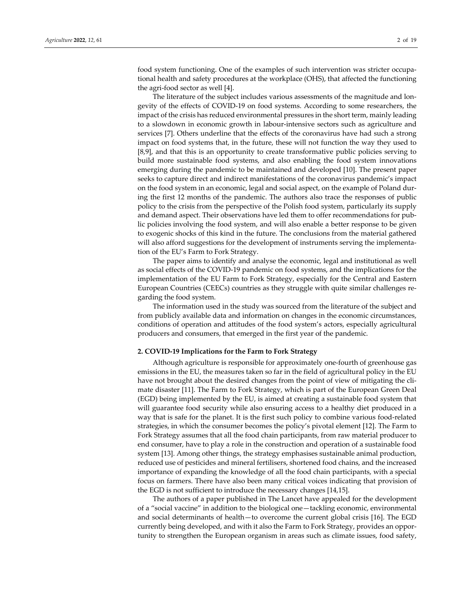food system functioning. One of the examples of such intervention was stricter occupational health and safety procedures at the workplace (OHS), that affected the functioning the agri‐food sector as well [4].

The literature of the subject includes various assessments of the magnitude and longevity of the effects of COVID‐19 on food systems. According to some researchers, the impact of the crisis has reduced environmental pressures in the short term, mainly leading to a slowdown in economic growth in labour‐intensive sectors such as agriculture and services [7]. Others underline that the effects of the coronavirus have had such a strong impact on food systems that, in the future, these will not function the way they used to [8,9], and that this is an opportunity to create transformative public policies serving to build more sustainable food systems, and also enabling the food system innovations emerging during the pandemic to be maintained and developed [10]. The present paper seeks to capture direct and indirect manifestations of the coronavirus pandemic's impact on the food system in an economic, legal and social aspect, on the example of Poland dur‐ ing the first 12 months of the pandemic. The authors also trace the responses of public policy to the crisis from the perspective of the Polish food system, particularly its supply and demand aspect. Their observations have led them to offer recommendations for pub‐ lic policies involving the food system, and will also enable a better response to be given to exogenic shocks of this kind in the future. The conclusions from the material gathered will also afford suggestions for the development of instruments serving the implementation of the EU's Farm to Fork Strategy.

The paper aims to identify and analyse the economic, legal and institutional as well as social effects of the COVID‐19 pandemic on food systems, and the implications for the implementation of the EU Farm to Fork Strategy, especially for the Central and Eastern European Countries (CEECs) countries as they struggle with quite similar challenges re‐ garding the food system.

The information used in the study was sourced from the literature of the subject and from publicly available data and information on changes in the economic circumstances, conditions of operation and attitudes of the food system's actors, especially agricultural producers and consumers, that emerged in the first year of the pandemic.

#### **2. COVID‐19 Implications for the Farm to Fork Strategy**

Although agriculture is responsible for approximately one‐fourth of greenhouse gas emissions in the EU, the measures taken so far in the field of agricultural policy in the EU have not brought about the desired changes from the point of view of mitigating the climate disaster [11]. The Farm to Fork Strategy, which is part of the European Green Deal (EGD) being implemented by the EU, is aimed at creating a sustainable food system that will guarantee food security while also ensuring access to a healthy diet produced in a way that is safe for the planet. It is the first such policy to combine various food‐related strategies, in which the consumer becomes the policy's pivotal element [12]. The Farm to Fork Strategy assumes that all the food chain participants, from raw material producer to end consumer, have to play a role in the construction and operation of a sustainable food system [13]. Among other things, the strategy emphasises sustainable animal production, reduced use of pesticides and mineral fertilisers, shortened food chains, and the increased importance of expanding the knowledge of all the food chain participants, with a special focus on farmers. There have also been many critical voices indicating that provision of the EGD is not sufficient to introduce the necessary changes [14,15].

The authors of a paper published in The Lancet have appealed for the development of a "social vaccine" in addition to the biological one—tackling economic, environmental and social determinants of health—to overcome the current global crisis [16]. The EGD currently being developed, and with it also the Farm to Fork Strategy, provides an oppor‐ tunity to strengthen the European organism in areas such as climate issues, food safety,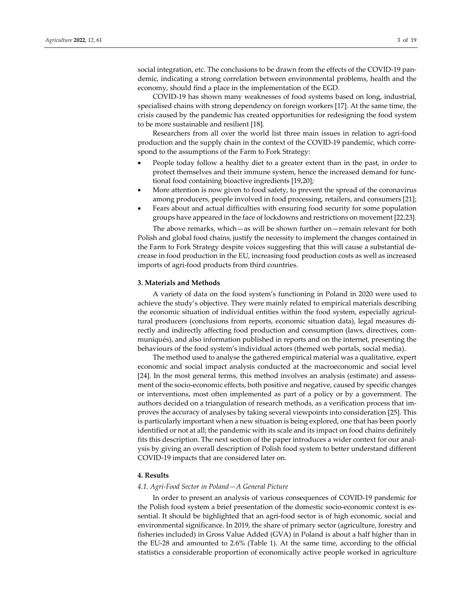social integration, etc. The conclusions to be drawn from the effects of the COVID-19 pandemic, indicating a strong correlation between environmental problems, health and the economy, should find a place in the implementation of the EGD.

COVID‐19 has shown many weaknesses of food systems based on long, industrial, specialised chains with strong dependency on foreign workers [17]. At the same time, the crisis caused by the pandemic has created opportunities for redesigning the food system to be more sustainable and resilient [18].

Researchers from all over the world list three main issues in relation to agri‐food production and the supply chain in the context of the COVID‐19 pandemic, which corre‐ spond to the assumptions of the Farm to Fork Strategy:

- People today follow a healthy diet to a greater extent than in the past, in order to protect themselves and their immune system, hence the increased demand for func‐ tional food containing bioactive ingredients [19,20];
- More attention is now given to food safety, to prevent the spread of the coronavirus among producers, people involved in food processing, retailers, and consumers [21];
- Fears about and actual difficulties with ensuring food security for some population groups have appeared in the face of lockdowns and restrictions on movement [22,23].

The above remarks, which—as will be shown further on—remain relevant for both Polish and global food chains, justify the necessity to implement the changes contained in the Farm to Fork Strategy despite voices suggesting that this will cause a substantial de‐ crease in food production in the EU, increasing food production costs as well as increased imports of agri‐food products from third countries.

#### **3. Materials and Methods**

A variety of data on the food system's functioning in Poland in 2020 were used to achieve the study's objective. They were mainly related to empirical materials describing the economic situation of individual entities within the food system, especially agricultural producers (conclusions from reports, economic situation data), legal measures directly and indirectly affecting food production and consumption (laws, directives, communiqués), and also information published in reports and on the internet, presenting the behaviours of the food system's individual actors (themed web portals, social media).

The method used to analyse the gathered empirical material was a qualitative, expert economic and social impact analysis conducted at the macroeconomic and social level [24]. In the most general terms, this method involves an analysis (estimate) and assessment of the socio‐economic effects, both positive and negative, caused by specific changes or interventions, most often implemented as part of a policy or by a government. The authors decided on a triangulation of research methods, as a verification process that im‐ proves the accuracy of analyses by taking several viewpoints into consideration [25]. This is particularly important when a new situation is being explored, one that has been poorly identified or not at all; the pandemic with its scale and its impact on food chains definitely fits this description. The next section of the paper introduces a wider context for our analysis by giving an overall description of Polish food system to better understand different COVID‐19 impacts that are considered later on.

#### **4. Results**

# *4.1. Agri‐Food Sector in Poland—A General Picture*

In order to present an analysis of various consequences of COVID‐19 pandemic for the Polish food system a brief presentation of the domestic socio‐economic context is es‐ sential. It should be highlighted that an agri‐food sector is of high economic, social and environmental significance. In 2019, the share of primary sector (agriculture, forestry and fisheries included) in Gross Value Added (GVA) in Poland is about a half higher than in the EU‐28 and amounted to 2.6% (Table 1). At the same time, according to the official statistics a considerable proportion of economically active people worked in agriculture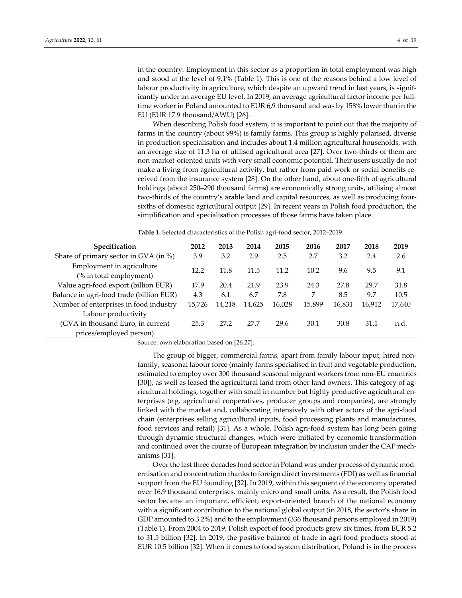in the country. Employment in this sector as a proportion in total employment was high and stood at the level of 9.1% (Table 1). This is one of the reasons behind a low level of labour productivity in agriculture, which despite an upward trend in last years, is significantly under an average EU level. In 2019, an average agricultural factor income per full‐ time worker in Poland amounted to EUR 6,9 thousand and was by 158% lower than in the EU (EUR 17.9 thousand/AWU) [26].

When describing Polish food system, it is important to point out that the majority of farms in the country (about 99%) is family farms. This group is highly polarised, diverse in production specialisation and includes about 1.4 million agricultural households, with an average size of 11.3 ha of utilised agricultural area [27]. Over two‐thirds of them are non‐market‐oriented units with very small economic potential. Their users usually do not make a living from agricultural activity, but rather from paid work or social benefits re‐ ceived from the insurance system [28]. On the other hand, about one‐fifth of agricultural holdings (about 250–290 thousand farms) are economically strong units, utilising almost two‐thirds of the country's arable land and capital resources, as well as producing four‐ sixths of domestic agricultural output [29]. In recent years in Polish food production, the simplification and specialisation processes of those farms have taken place.

**Table 1.** Selected characteristics of the Polish agri‐food sector, 2012–2019.

| Specification                                                | 2012   | 2013   | 2014   | 2015   | 2016   | 2017   | 2018   | 2019   |
|--------------------------------------------------------------|--------|--------|--------|--------|--------|--------|--------|--------|
| Share of primary sector in GVA (in %)                        | 3.9    | 3.2    | 2.9    | 2.5    | 2.7    | 3.2    | 2.4    | 2.6    |
| Employment in agriculture<br>(% in total employment)         | 12.2   | 11.8   | 11.5   | 11.2   | 10.2   | 9.6    | 9.5    | 9.1    |
| Value agri-food export (billion EUR)                         | 17.9   | 20.4   | 21.9   | 23.9   | 24.3   | 27.8   | 29.7   | 31.8   |
| Balance in agri-food trade (billion EUR)                     | 4.3    | 6.1    | 6.7    | 7.8    | 7      | 8.5    | 9.7    | 10.5   |
| Number of enterprises in food industry                       | 15,726 | 14,218 | 14,625 | 16,028 | 15,899 | 16,831 | 16.912 | 17,640 |
| Labour productivity                                          |        |        |        |        |        |        |        |        |
| (GVA in thousand Euro, in current<br>prices/employed person) | 25.3   | 27.2   | 27.7   | 29.6   | 30.1   | 30.8   | 31.1   | n.d.   |

Source: own elaboration based on [26,27].

The group of bigger, commercial farms, apart from family labour input, hired nonfamily, seasonal labour force (mainly farms specialised in fruit and vegetable production, estimated to employ over 300 thousand seasonal migrant workers from non‐EU countries [30]), as well as leased the agricultural land from other land owners. This category of agricultural holdings, together with small in number but highly productive agricultural en‐ terprises (e.g. agricultural cooperatives, producer groups and companies), are strongly linked with the market and, collaborating intensively with other actors of the agri‐food chain (enterprises selling agricultural inputs, food processing plants and manufactures, food services and retail) [31]. As a whole, Polish agri-food system has long been going through dynamic structural changes, which were initiated by economic transformation and continued over the course of European integration by inclusion under the CAP mechanisms [31].

Over the last three decades food sector in Poland was under process of dynamic modernisation and concentration thanks to foreign direct investments (FDI) as well as financial support from the EU founding [32]. In 2019, within this segment of the economy operated over 16,9 thousand enterprises, mainly micro and small units. As a result, the Polish food sector became an important, efficient, export-oriented branch of the national economy with a significant contribution to the national global output (in 2018, the sector's share in GDP amounted to 3.2%) and to the employment (336 thousand persons employed in 2019) (Table 1). From 2004 to 2019, Polish export of food products grew six times, from EUR 5.2 to 31.5 billion [32]. In 2019, the positive balance of trade in agri‐food products stood at EUR 10.5 billion [32]. When it comes to food system distribution, Poland is in the process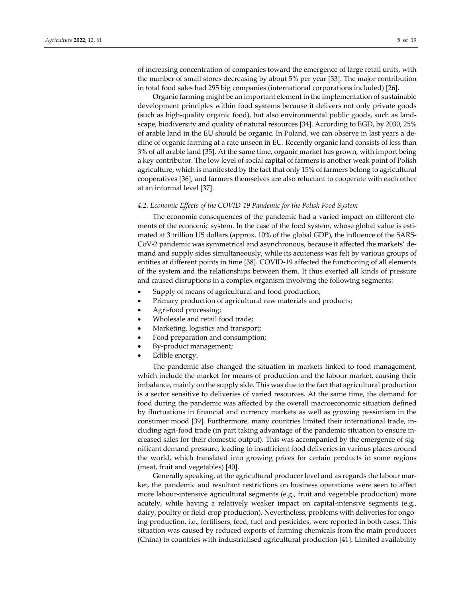of increasing concentration of companies toward the emergence of large retail units, with the number of small stores decreasing by about 5% per year [33]. The major contribution in total food sales had 295 big companies (international corporations included) [26].

Organic farming might be an important element in the implementation of sustainable development principles within food systems because it delivers not only private goods (such as high‐quality organic food), but also environmental public goods, such as land‐ scape, biodiversity and quality of natural resources [34]. According to EGD, by 2030, 25% of arable land in the EU should be organic. In Poland, we can observe in last years a de‐ cline of organic farming at a rate unseen in EU. Recently organic land consists of less than 3% of all arable land [35]. At the same time, organic market has grown, with import being a key contributor. The low level of social capital of farmers is another weak point of Polish agriculture, which is manifested by the fact that only 15% of farmers belong to agricultural cooperatives [36], and farmers themselves are also reluctant to cooperate with each other at an informal level [37].

### *4.2. Economic Effects of the COVID‐19 Pandemic for the Polish Food System*

The economic consequences of the pandemic had a varied impact on different elements of the economic system. In the case of the food system, whose global value is estimated at 3 trillion US dollars (approx. 10% of the global GDP), the influence of the SARS‐ CoV-2 pandemic was symmetrical and asynchronous, because it affected the markets' demand and supply sides simultaneously, while its acuteness was felt by various groups of entities at different points in time [38]. COVID‐19 affected the functioning of all elements of the system and the relationships between them. It thus exerted all kinds of pressure and caused disruptions in a complex organism involving the following segments:

- Supply of means of agricultural and food production;
- Primary production of agricultural raw materials and products;
- Agri‐food processing;
- Wholesale and retail food trade;
- Marketing, logistics and transport;
- Food preparation and consumption;
- By‐product management;
- Edible energy.

The pandemic also changed the situation in markets linked to food management, which include the market for means of production and the labour market, causing their imbalance, mainly on the supply side. This was due to the fact that agricultural production is a sector sensitive to deliveries of varied resources. At the same time, the demand for food during the pandemic was affected by the overall macroeconomic situation defined by fluctuations in financial and currency markets as well as growing pessimism in the consumer mood [39]. Furthermore, many countries limited their international trade, in‐ cluding agri-food trade (in part taking advantage of the pandemic situation to ensure increased sales for their domestic output). This was accompanied by the emergence of sig‐ nificant demand pressure, leading to insufficient food deliveries in various places around the world, which translated into growing prices for certain products in some regions (meat, fruit and vegetables) [40].

Generally speaking, at the agricultural producer level and as regards the labour mar‐ ket, the pandemic and resultant restrictions on business operations were seen to affect more labour-intensive agricultural segments (e.g., fruit and vegetable production) more acutely, while having a relatively weaker impact on capital-intensive segments (e.g., dairy, poultry or field-crop production). Nevertheless, problems with deliveries for ongoing production, i.e., fertilisers, feed, fuel and pesticides, were reported in both cases. This situation was caused by reduced exports of farming chemicals from the main producers (China) to countries with industrialised agricultural production [41]. Limited availability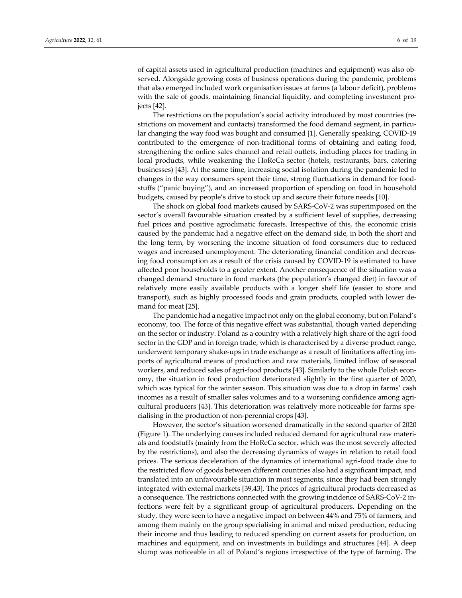of capital assets used in agricultural production (machines and equipment) was also ob‐ served. Alongside growing costs of business operations during the pandemic, problems that also emerged included work organisation issues at farms (a labour deficit), problems with the sale of goods, maintaining financial liquidity, and completing investment projects [42].

The restrictions on the population's social activity introduced by most countries (re‐ strictions on movement and contacts) transformed the food demand segment, in particular changing the way food was bought and consumed [1]. Generally speaking, COVID‐19 contributed to the emergence of non‐traditional forms of obtaining and eating food, strengthening the online sales channel and retail outlets, including places for trading in local products, while weakening the HoReCa sector (hotels, restaurants, bars, catering businesses) [43]. At the same time, increasing social isolation during the pandemic led to changes in the way consumers spent their time, strong fluctuations in demand for food‐ stuffs ("panic buying"), and an increased proportion of spending on food in household budgets, caused by people's drive to stock up and secure their future needs [10].

The shock on global food markets caused by SARS‐CoV‐2 was superimposed on the sector's overall favourable situation created by a sufficient level of supplies, decreasing fuel prices and positive agroclimatic forecasts. Irrespective of this, the economic crisis caused by the pandemic had a negative effect on the demand side, in both the short and the long term, by worsening the income situation of food consumers due to reduced wages and increased unemployment. The deteriorating financial condition and decreas‐ ing food consumption as a result of the crisis caused by COVID‐19 is estimated to have affected poor households to a greater extent. Another consequence of the situation was a changed demand structure in food markets (the population's changed diet) in favour of relatively more easily available products with a longer shelf life (easier to store and transport), such as highly processed foods and grain products, coupled with lower de‐ mand for meat [25].

The pandemic had a negative impact not only on the global economy, but on Poland's economy, too. The force of this negative effect was substantial, though varied depending on the sector or industry. Poland as a country with a relatively high share of the agri‐food sector in the GDP and in foreign trade, which is characterised by a diverse product range, underwent temporary shake-ups in trade exchange as a result of limitations affecting imports of agricultural means of production and raw materials, limited inflow of seasonal workers, and reduced sales of agri-food products [43]. Similarly to the whole Polish economy, the situation in food production deteriorated slightly in the first quarter of 2020, which was typical for the winter season. This situation was due to a drop in farms' cash incomes as a result of smaller sales volumes and to a worsening confidence among agricultural producers [43]. This deterioration was relatively more noticeable for farms spe‐ cialising in the production of non‐perennial crops [43].

However, the sector's situation worsened dramatically in the second quarter of 2020 (Figure 1). The underlying causes included reduced demand for agricultural raw materi‐ als and foodstuffs (mainly from the HoReCa sector, which was the most severely affected by the restrictions), and also the decreasing dynamics of wages in relation to retail food prices. The serious deceleration of the dynamics of international agri-food trade due to the restricted flow of goods between different countries also had a significant impact, and translated into an unfavourable situation in most segments, since they had been strongly integrated with external markets [39,43]. The prices of agricultural products decreased as a consequence. The restrictions connected with the growing incidence of SARS‐CoV‐2 in‐ fections were felt by a significant group of agricultural producers. Depending on the study, they were seen to have a negative impact on between 44% and 75% of farmers, and among them mainly on the group specialising in animal and mixed production, reducing their income and thus leading to reduced spending on current assets for production, on machines and equipment, and on investments in buildings and structures [44]. A deep slump was noticeable in all of Poland's regions irrespective of the type of farming. The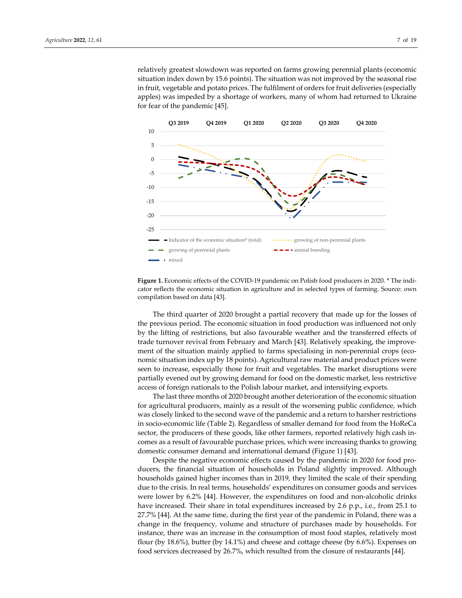relatively greatest slowdown was reported on farms growing perennial plants (economic situation index down by 15.6 points). The situation was not improved by the seasonal rise in fruit, vegetable and potato prices. The fulfilment of orders for fruit deliveries (especially apples) was impeded by a shortage of workers, many of whom had returned to Ukraine for fear of the pandemic [45].



**Figure 1.** Economic effects of the COVID-19 pandemic on Polish food producers in 2020. \* The indicator reflects the economic situation in agriculture and in selected types of farming. Source: own compilation based on data [43].

The third quarter of 2020 brought a partial recovery that made up for the losses of the previous period. The economic situation in food production was influenced not only by the lifting of restrictions, but also favourable weather and the transferred effects of trade turnover revival from February and March [43]. Relatively speaking, the improve‐ ment of the situation mainly applied to farms specialising in non-perennial crops (economic situation index up by 18 points). Agricultural raw material and product prices were seen to increase, especially those for fruit and vegetables. The market disruptions were partially evened out by growing demand for food on the domestic market, less restrictive access of foreign nationals to the Polish labour market, and intensifying exports.

The last three months of 2020 brought another deterioration of the economic situation for agricultural producers, mainly as a result of the worsening public confidence, which was closely linked to the second wave of the pandemic and a return to harsher restrictions in socio‐economic life (Table 2). Regardless of smaller demand for food from the HoReCa sector, the producers of these goods, like other farmers, reported relatively high cash incomes as a result of favourable purchase prices, which were increasing thanks to growing domestic consumer demand and international demand (Figure 1) [43].

Despite the negative economic effects caused by the pandemic in 2020 for food producers, the financial situation of households in Poland slightly improved. Although households gained higher incomes than in 2019, they limited the scale of their spending due to the crisis. In real terms, households' expenditures on consumer goods and services were lower by 6.2% [44]. However, the expenditures on food and non-alcoholic drinks have increased. Their share in total expenditures increased by 2.6 p.p., i.e., from 25.1 to 27.7% [44]. At the same time, during the first year of the pandemic in Poland, there was a change in the frequency, volume and structure of purchases made by households. For instance, there was an increase in the consumption of most food staples, relatively most flour (by 18.6%), butter (by 14.1%) and cheese and cottage cheese (by 6.6%). Expenses on food services decreased by 26.7%, which resulted from the closure of restaurants [44].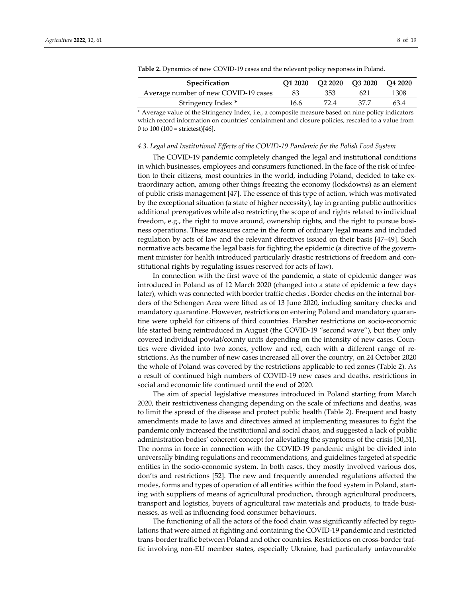| <b>Specification</b>                 | O1 2020 | O2 2020 | O3 2020 O4 2020 |      |
|--------------------------------------|---------|---------|-----------------|------|
| Average number of new COVID-19 cases |         | 353     |                 | 1308 |
| Stringency Index *                   | 16.6    | 72 4    |                 | 634  |

**Table 2.** Dynamics of new COVID‐19 cases and the relevant policy responses in Poland.

\* Average value of the Stringency Index, i.e., a composite measure based on nine policy indicators which record information on countries' containment and closure policies, rescaled to a value from 0 to 100  $(100 = \text{strictest})[46]$ .

### *4.3. Legal and Institutional Effects of the COVID‐19 Pandemic for the Polish Food System*

The COVID‐19 pandemic completely changed the legal and institutional conditions in which businesses, employees and consumers functioned. In the face of the risk of infection to their citizens, most countries in the world, including Poland, decided to take ex‐ traordinary action, among other things freezing the economy (lockdowns) as an element of public crisis management [47]. The essence of this type of action, which was motivated by the exceptional situation (a state of higher necessity), lay in granting public authorities additional prerogatives while also restricting the scope of and rights related to individual freedom, e.g., the right to move around, ownership rights, and the right to pursue business operations. These measures came in the form of ordinary legal means and included regulation by acts of law and the relevant directives issued on their basis [47–49]. Such normative acts became the legal basis for fighting the epidemic (a directive of the govern‐ ment minister for health introduced particularly drastic restrictions of freedom and constitutional rights by regulating issues reserved for acts of law).

In connection with the first wave of the pandemic, a state of epidemic danger was introduced in Poland as of 12 March 2020 (changed into a state of epidemic a few days later), which was connected with border traffic checks . Border checks on the internal borders of the Schengen Area were lifted as of 13 June 2020, including sanitary checks and mandatory quarantine. However, restrictions on entering Poland and mandatory quaran‐ tine were upheld for citizens of third countries. Harsher restrictions on socio‐economic life started being reintroduced in August (the COVID‐19 "second wave"), but they only covered individual powiat/county units depending on the intensity of new cases. Coun‐ ties were divided into two zones, yellow and red, each with a different range of restrictions. As the number of new cases increased all over the country, on 24 October 2020 the whole of Poland was covered by the restrictions applicable to red zones (Table 2). As a result of continued high numbers of COVID‐19 new cases and deaths, restrictions in social and economic life continued until the end of 2020.

The aim of special legislative measures introduced in Poland starting from March 2020, their restrictiveness changing depending on the scale of infections and deaths, was to limit the spread of the disease and protect public health (Table 2). Frequent and hasty amendments made to laws and directives aimed at implementing measures to fight the pandemic only increased the institutional and social chaos, and suggested a lack of public administration bodies' coherent concept for alleviating the symptoms of the crisis [50,51]. The norms in force in connection with the COVID-19 pandemic might be divided into universally binding regulations and recommendations, and guidelines targeted at specific entities in the socio-economic system. In both cases, they mostly involved various dos, don'ts and restrictions [52]. The new and frequently amended regulations affected the modes, forms and types of operation of all entities within the food system in Poland, start‐ ing with suppliers of means of agricultural production, through agricultural producers, transport and logistics, buyers of agricultural raw materials and products, to trade busi‐ nesses, as well as influencing food consumer behaviours.

The functioning of all the actors of the food chain was significantly affected by regulations that were aimed at fighting and containing the COVID‐19 pandemic and restricted trans-border traffic between Poland and other countries. Restrictions on cross-border traffic involving non‐EU member states, especially Ukraine, had particularly unfavourable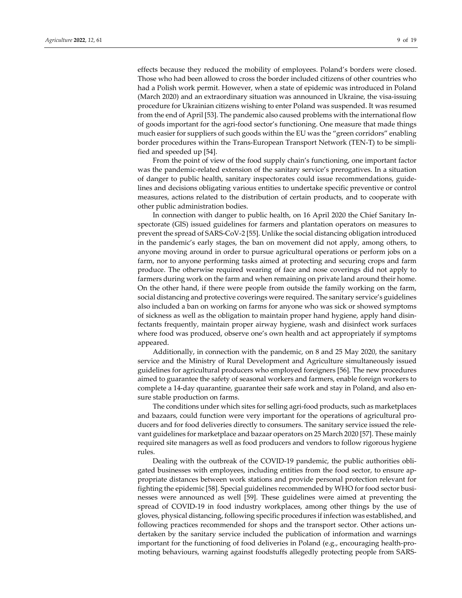effects because they reduced the mobility of employees. Poland's borders were closed. Those who had been allowed to cross the border included citizens of other countries who had a Polish work permit. However, when a state of epidemic was introduced in Poland (March 2020) and an extraordinary situation was announced in Ukraine, the visa‐issuing procedure for Ukrainian citizens wishing to enter Poland was suspended. It was resumed from the end of April [53]. The pandemic also caused problems with the international flow of goods important for the agri‐food sector's functioning. One measure that made things much easier for suppliers of such goods within the EU was the "green corridors" enabling border procedures within the Trans‐European Transport Network (TEN‐T) to be simpli‐ fied and speeded up [54].

From the point of view of the food supply chain's functioning, one important factor was the pandemic-related extension of the sanitary service's prerogatives. In a situation of danger to public health, sanitary inspectorates could issue recommendations, guide‐ lines and decisions obligating various entities to undertake specific preventive or control measures, actions related to the distribution of certain products, and to cooperate with other public administration bodies.

In connection with danger to public health, on 16 April 2020 the Chief Sanitary In‐ spectorate (GIS) issued guidelines for farmers and plantation operators on measures to prevent the spread of SARS‐CoV‐2 [55]. Unlike the social distancing obligation introduced in the pandemic's early stages, the ban on movement did not apply, among others, to anyone moving around in order to pursue agricultural operations or perform jobs on a farm, nor to anyone performing tasks aimed at protecting and securing crops and farm produce. The otherwise required wearing of face and nose coverings did not apply to farmers during work on the farm and when remaining on private land around their home. On the other hand, if there were people from outside the family working on the farm, social distancing and protective coverings were required. The sanitary service's guidelines also included a ban on working on farms for anyone who was sick or showed symptoms of sickness as well as the obligation to maintain proper hand hygiene, apply hand disin‐ fectants frequently, maintain proper airway hygiene, wash and disinfect work surfaces where food was produced, observe one's own health and act appropriately if symptoms appeared.

Additionally, in connection with the pandemic, on 8 and 25 May 2020, the sanitary service and the Ministry of Rural Development and Agriculture simultaneously issued guidelines for agricultural producers who employed foreigners [56]. The new procedures aimed to guarantee the safety of seasonal workers and farmers, enable foreign workers to complete a 14‐day quarantine, guarantee their safe work and stay in Poland, and also en‐ sure stable production on farms.

The conditions under which sites for selling agri‐food products, such as marketplaces and bazaars, could function were very important for the operations of agricultural pro‐ ducers and for food deliveries directly to consumers. The sanitary service issued the rele‐ vant guidelines for marketplace and bazaar operators on 25 March 2020 [57]. These mainly required site managers as well as food producers and vendors to follow rigorous hygiene rules.

Dealing with the outbreak of the COVID-19 pandemic, the public authorities obligated businesses with employees, including entities from the food sector, to ensure ap‐ propriate distances between work stations and provide personal protection relevant for fighting the epidemic [58]. Special guidelines recommended by WHO for food sector businesses were announced as well [59]. These guidelines were aimed at preventing the spread of COVID-19 in food industry workplaces, among other things by the use of gloves, physical distancing, following specific procedures if infection was established, and following practices recommended for shops and the transport sector. Other actions undertaken by the sanitary service included the publication of information and warnings important for the functioning of food deliveries in Poland (e.g., encouraging health‐pro‐ moting behaviours, warning against foodstuffs allegedly protecting people from SARS‐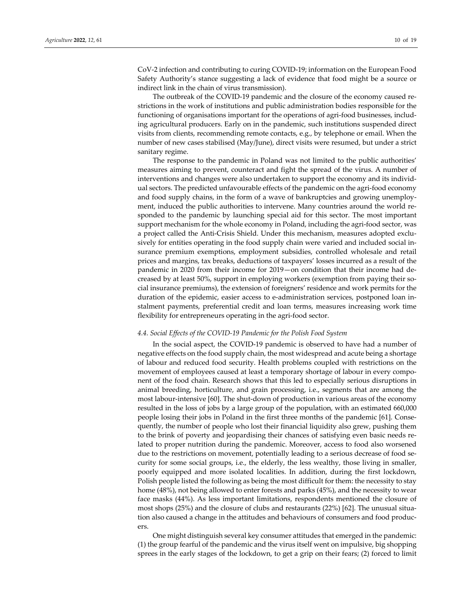CoV-2 infection and contributing to curing COVID-19; information on the European Food Safety Authority's stance suggesting a lack of evidence that food might be a source or indirect link in the chain of virus transmission).

The outbreak of the COVID-19 pandemic and the closure of the economy caused restrictions in the work of institutions and public administration bodies responsible for the functioning of organisations important for the operations of agri-food businesses, including agricultural producers. Early on in the pandemic, such institutions suspended direct visits from clients, recommending remote contacts, e.g., by telephone or email. When the number of new cases stabilised (May/June), direct visits were resumed, but under a strict sanitary regime.

The response to the pandemic in Poland was not limited to the public authorities' measures aiming to prevent, counteract and fight the spread of the virus. A number of interventions and changes were also undertaken to support the economy and its individual sectors. The predicted unfavourable effects of the pandemic on the agri‐food economy and food supply chains, in the form of a wave of bankruptcies and growing unemployment, induced the public authorities to intervene. Many countries around the world responded to the pandemic by launching special aid for this sector. The most important support mechanism for the whole economy in Poland, including the agri-food sector, was a project called the Anti-Crisis Shield. Under this mechanism, measures adopted exclusively for entities operating in the food supply chain were varied and included social in‐ surance premium exemptions, employment subsidies, controlled wholesale and retail prices and margins, tax breaks, deductions of taxpayers' losses incurred as a result of the pandemic in 2020 from their income for 2019—on condition that their income had de‐ creased by at least 50%, support in employing workers (exemption from paying their so‐ cial insurance premiums), the extension of foreigners' residence and work permits for the duration of the epidemic, easier access to e-administration services, postponed loan instalment payments, preferential credit and loan terms, measures increasing work time flexibility for entrepreneurs operating in the agri-food sector.

#### *4.4. Social Effects of the COVID‐19 Pandemic for the Polish Food System*

In the social aspect, the COVID‐19 pandemic is observed to have had a number of negative effects on the food supply chain, the most widespread and acute being a shortage of labour and reduced food security. Health problems coupled with restrictions on the movement of employees caused at least a temporary shortage of labour in every component of the food chain. Research shows that this led to especially serious disruptions in animal breeding, horticulture, and grain processing, i.e., segments that are among the most labour-intensive [60]. The shut-down of production in various areas of the economy resulted in the loss of jobs by a large group of the population, with an estimated 660,000 people losing their jobs in Poland in the first three months of the pandemic [61]. Consequently, the number of people who lost their financial liquidity also grew, pushing them to the brink of poverty and jeopardising their chances of satisfying even basic needs re‐ lated to proper nutrition during the pandemic. Moreover, access to food also worsened due to the restrictions on movement, potentially leading to a serious decrease of food se‐ curity for some social groups, i.e., the elderly, the less wealthy, those living in smaller, poorly equipped and more isolated localities. In addition, during the first lockdown, Polish people listed the following as being the most difficult for them: the necessity to stay home (48%), not being allowed to enter forests and parks (45%), and the necessity to wear face masks (44%). As less important limitations, respondents mentioned the closure of most shops (25%) and the closure of clubs and restaurants (22%) [62]. The unusual situa‐ tion also caused a change in the attitudes and behaviours of consumers and food produc‐ ers.

One might distinguish several key consumer attitudes that emerged in the pandemic: (1) the group fearful of the pandemic and the virus itself went on impulsive, big shopping sprees in the early stages of the lockdown, to get a grip on their fears; (2) forced to limit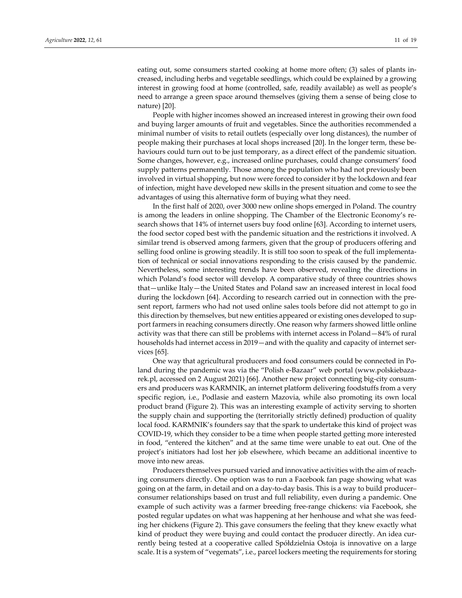eating out, some consumers started cooking at home more often; (3) sales of plants increased, including herbs and vegetable seedlings, which could be explained by a growing interest in growing food at home (controlled, safe, readily available) as well as people's need to arrange a green space around themselves (giving them a sense of being close to nature) [20].

People with higher incomes showed an increased interest in growing their own food and buying larger amounts of fruit and vegetables. Since the authorities recommended a minimal number of visits to retail outlets (especially over long distances), the number of people making their purchases at local shops increased [20]. In the longer term, these be‐ haviours could turn out to be just temporary, as a direct effect of the pandemic situation. Some changes, however, e.g., increased online purchases, could change consumers' food supply patterns permanently. Those among the population who had not previously been involved in virtual shopping, but now were forced to considerit by the lockdown and fear of infection, might have developed new skills in the present situation and come to see the advantages of using this alternative form of buying what they need.

In the first half of 2020, over 3000 new online shops emerged in Poland. The country is among the leaders in online shopping. The Chamber of the Electronic Economy's research shows that 14% of internet users buy food online [63]. According to internet users, the food sector coped best with the pandemic situation and the restrictions it involved. A similar trend is observed among farmers, given that the group of producers offering and selling food online is growing steadily. It is still too soon to speak of the full implementa‐ tion of technical or social innovations responding to the crisis caused by the pandemic. Nevertheless, some interesting trends have been observed, revealing the directions in which Poland's food sector will develop. A comparative study of three countries shows that—unlike Italy—the United States and Poland saw an increased interest in local food during the lockdown [64]. According to research carried out in connection with the pre‐ sent report, farmers who had not used online sales tools before did not attempt to go in this direction by themselves, but new entities appeared or existing ones developed to sup‐ port farmers in reaching consumers directly. One reason why farmers showed little online activity was that there can still be problems with internet access in Poland—84% of rural households had internet access in 2019—and with the quality and capacity of internet services [65].

One way that agricultural producers and food consumers could be connected in Po‐ land during the pandemic was via the "Polish e-Bazaar" web portal (www.polskiebazarek.pl, accessed on 2 August 2021) [66]. Another new project connecting big‐city consum‐ ers and producers was KARMNIK, an internet platform delivering foodstuffs from a very specific region, i.e., Podlasie and eastern Mazovia, while also promoting its own local product brand (Figure 2). This was an interesting example of activity serving to shorten the supply chain and supporting the (territorially strictly defined) production of quality local food. KARMNIK's founders say that the spark to undertake this kind of project was COVID‐19, which they consider to be a time when people started getting more interested in food, "entered the kitchen" and at the same time were unable to eat out. One of the project's initiators had lost her job elsewhere, which became an additional incentive to move into new areas.

Producers themselves pursued varied and innovative activities with the aim of reaching consumers directly. One option was to run a Facebook fan page showing what was going on at the farm, in detail and on a day‐to‐day basis. This is a way to build producer– consumer relationships based on trust and full reliability, even during a pandemic. One example of such activity was a farmer breeding free‐range chickens: via Facebook, she posted regular updates on what was happening at her henhouse and what she was feed‐ ing her chickens (Figure 2). This gave consumers the feeling that they knew exactly what kind of product they were buying and could contact the producer directly. An idea currently being tested at a cooperative called Spółdzielnia Ostoja is innovative on a large scale. It is a system of "vegemats", i.e., parcel lockers meeting the requirements for storing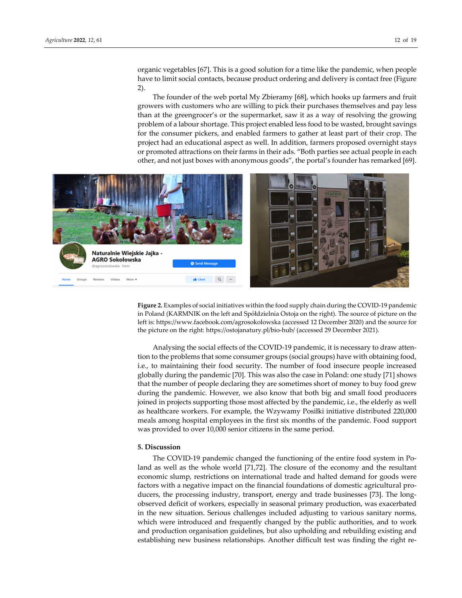organic vegetables [67]. This is a good solution for a time like the pandemic, when people have to limit social contacts, because product ordering and delivery is contact free (Figure 2).

The founder of the web portal My Zbieramy [68], which hooks up farmers and fruit growers with customers who are willing to pick their purchases themselves and pay less than at the greengrocer's or the supermarket, saw it as a way of resolving the growing problem of a labour shortage. This project enabled less food to be wasted, brought savings for the consumer pickers, and enabled farmers to gather at least part of their crop. The project had an educational aspect as well. In addition, farmers proposed overnight stays or promoted attractions on their farms in their ads. "Both parties see actual people in each other, and not just boxes with anonymous goods", the portal's founder has remarked [69].



**Figure 2.** Examples of social initiatives within the food supply chain during the COVID‐19 pandemic in Poland (KARMNIK on the left and Spółdzielnia Ostoja on the right). The source of picture on the left is: https://www.facebook.com/agrosokolowska (accessed 12 December 2020) and the source for the picture on the right: https://ostojanatury.pl/bio‐hub/ (accessed 29 December 2021).

Analysing the social effects of the COVID‐19 pandemic, it is necessary to draw atten‐ tion to the problems that some consumer groups (social groups) have with obtaining food, i.e., to maintaining their food security. The number of food insecure people increased globally during the pandemic [70]. This was also the case in Poland: one study [71] shows that the number of people declaring they are sometimes short of money to buy food grew during the pandemic. However, we also know that both big and small food producers joined in projects supporting those most affected by the pandemic, i.e., the elderly as well as healthcare workers. For example, the Wzywamy Posiłki initiative distributed 220,000 meals among hospital employees in the first six months of the pandemic. Food support was provided to over 10,000 senior citizens in the same period.

# **5. Discussion**

The COVID-19 pandemic changed the functioning of the entire food system in Poland as well as the whole world [71,72]. The closure of the economy and the resultant economic slump, restrictions on international trade and halted demand for goods were factors with a negative impact on the financial foundations of domestic agricultural pro‐ ducers, the processing industry, transport, energy and trade businesses [73]. The long‐ observed deficit of workers, especially in seasonal primary production, was exacerbated in the new situation. Serious challenges included adjusting to various sanitary norms, which were introduced and frequently changed by the public authorities, and to work and production organisation guidelines, but also upholding and rebuilding existing and establishing new business relationships. Another difficult test was finding the right re-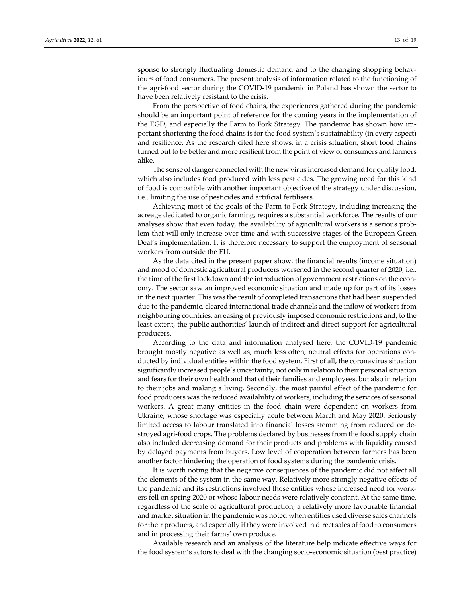sponse to strongly fluctuating domestic demand and to the changing shopping behaviours of food consumers. The present analysis of information related to the functioning of the agri‐food sector during the COVID‐19 pandemic in Poland has shown the sector to have been relatively resistant to the crisis.

From the perspective of food chains, the experiences gathered during the pandemic should be an important point of reference for the coming years in the implementation of the EGD, and especially the Farm to Fork Strategy. The pandemic has shown how im‐ portant shortening the food chains is for the food system's sustainability (in every aspect) and resilience. As the research cited here shows, in a crisis situation, short food chains turned out to be better and more resilient from the point of view of consumers and farmers alike.

The sense of danger connected with the new virus increased demand for quality food, which also includes food produced with less pesticides. The growing need for this kind of food is compatible with another important objective of the strategy under discussion, i.e., limiting the use of pesticides and artificial fertilisers.

Achieving most of the goals of the Farm to Fork Strategy, including increasing the acreage dedicated to organic farming, requires a substantial workforce. The results of our analyses show that even today, the availability of agricultural workers is a serious prob‐ lem that will only increase over time and with successive stages of the European Green Deal's implementation. It is therefore necessary to support the employment of seasonal workers from outside the EU.

As the data cited in the present paper show, the financial results (income situation) and mood of domestic agricultural producers worsened in the second quarter of 2020, i.e., the time of the first lockdown and the introduction of government restrictions on the economy. The sector saw an improved economic situation and made up for part of its losses in the next quarter. This was the result of completed transactions that had been suspended due to the pandemic, cleared international trade channels and the inflow of workers from neighbouring countries, an easing of previously imposed economic restrictions and, to the least extent, the public authorities' launch of indirect and direct support for agricultural producers.

According to the data and information analysed here, the COVID‐19 pandemic brought mostly negative as well as, much less often, neutral effects for operations conducted by individual entities within the food system. First of all, the coronavirus situation significantly increased people's uncertainty, not only in relation to their personal situation and fears for their own health and that of their families and employees, but also in relation to their jobs and making a living. Secondly, the most painful effect of the pandemic for food producers was the reduced availability of workers, including the services of seasonal workers. A great many entities in the food chain were dependent on workers from Ukraine, whose shortage was especially acute between March and May 2020. Seriously limited access to labour translated into financial losses stemming from reduced or de‐ stroyed agri‐food crops. The problems declared by businesses from the food supply chain also included decreasing demand for their products and problems with liquidity caused by delayed payments from buyers. Low level of cooperation between farmers has been another factor hindering the operation of food systems during the pandemic crisis.

It is worth noting that the negative consequences of the pandemic did not affect all the elements of the system in the same way. Relatively more strongly negative effects of the pandemic and its restrictions involved those entities whose increased need for work‐ ers fell on spring 2020 or whose labour needs were relatively constant. At the same time, regardless of the scale of agricultural production, a relatively more favourable financial and market situation in the pandemic was noted when entities used diverse sales channels fortheir products, and especially if they were involved in direct sales of food to consumers and in processing their farms' own produce.

Available research and an analysis of the literature help indicate effective ways for the food system's actors to deal with the changing socio‐economic situation (best practice)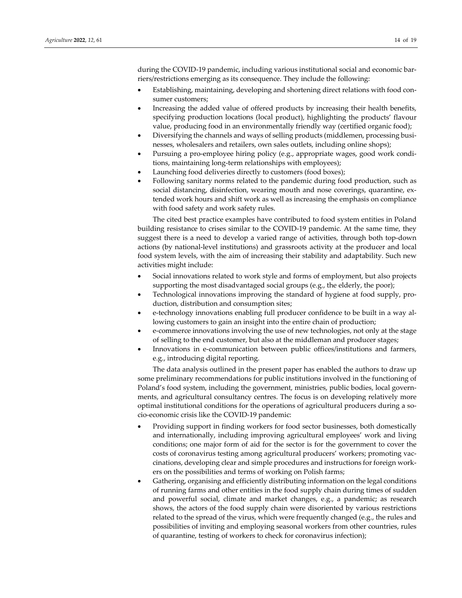during the COVID-19 pandemic, including various institutional social and economic barriers/restrictions emerging as its consequence. They include the following:

- Establishing, maintaining, developing and shortening direct relations with food consumer customers;
- Increasing the added value of offered products by increasing their health benefits, specifying production locations (local product), highlighting the products' flavour value, producing food in an environmentally friendly way (certified organic food);
- Diversifying the channels and ways of selling products (middlemen, processing businesses, wholesalers and retailers, own sales outlets, including online shops);
- Pursuing a pro-employee hiring policy (e.g., appropriate wages, good work conditions, maintaining long‐term relationships with employees);
- Launching food deliveries directly to customers (food boxes);
- Following sanitary norms related to the pandemic during food production, such as social distancing, disinfection, wearing mouth and nose coverings, quarantine, extended work hours and shift work as well as increasing the emphasis on compliance with food safety and work safety rules.

The cited best practice examples have contributed to food system entities in Poland building resistance to crises similar to the COVID‐19 pandemic. At the same time, they suggest there is a need to develop a varied range of activities, through both top‐down actions (by national‐level institutions) and grassroots activity at the producer and local food system levels, with the aim of increasing their stability and adaptability. Such new activities might include:

- Social innovations related to work style and forms of employment, but also projects supporting the most disadvantaged social groups (e.g., the elderly, the poor);
- Technological innovations improving the standard of hygiene at food supply, pro‐ duction, distribution and consumption sites;
- e-technology innovations enabling full producer confidence to be built in a way allowing customers to gain an insight into the entire chain of production;
- e‐commerce innovations involving the use of new technologies, not only at the stage of selling to the end customer, but also at the middleman and producer stages;
- Innovations in e‐communication between public offices/institutions and farmers, e.g., introducing digital reporting.

The data analysis outlined in the present paper has enabled the authors to draw up some preliminary recommendations for public institutions involved in the functioning of Poland's food system, including the government, ministries, public bodies, local govern‐ ments, and agricultural consultancy centres. The focus is on developing relatively more optimal institutional conditions for the operations of agricultural producers during a so‐ cio‐economic crisis like the COVID‐19 pandemic:

- Providing support in finding workers for food sector businesses, both domestically and internationally, including improving agricultural employees' work and living conditions; one major form of aid for the sector is for the government to cover the costs of coronavirus testing among agricultural producers' workers; promoting vac‐ cinations, developing clear and simple procedures and instructions for foreign work‐ ers on the possibilities and terms of working on Polish farms;
- Gathering, organising and efficiently distributing information on the legal conditions of running farms and other entities in the food supply chain during times of sudden and powerful social, climate and market changes, e.g., a pandemic; as research shows, the actors of the food supply chain were disoriented by various restrictions related to the spread of the virus, which were frequently changed (e.g., the rules and possibilities of inviting and employing seasonal workers from other countries, rules of quarantine, testing of workers to check for coronavirus infection);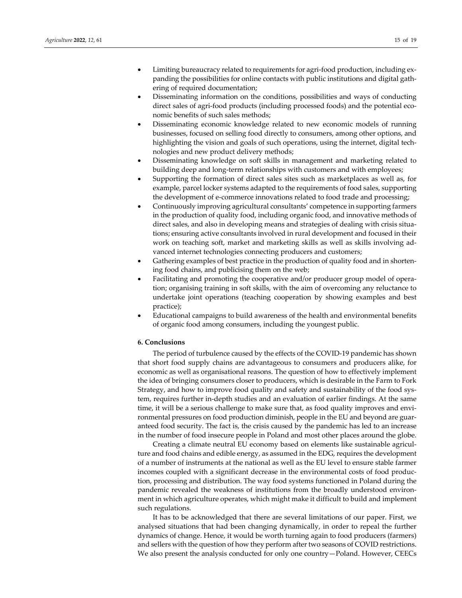- ering of required documentation; Disseminating information on the conditions, possibilities and ways of conducting direct sales of agri-food products (including processed foods) and the potential economic benefits of such sales methods;
- Disseminating economic knowledge related to new economic models of running businesses, focused on selling food directly to consumers, among other options, and highlighting the vision and goals of such operations, using the internet, digital technologies and new product delivery methods;
- Disseminating knowledge on soft skills in management and marketing related to building deep and long‐term relationships with customers and with employees;
- Supporting the formation of direct sales sites such as marketplaces as well as, for example, parcel locker systems adapted to the requirements of food sales, supporting the development of e‐commerce innovations related to food trade and processing;
- Continuously improving agricultural consultants' competence in supporting farmers in the production of quality food, including organic food, and innovative methods of direct sales, and also in developing means and strategies of dealing with crisis situations; ensuring active consultants involved in rural development and focused in their work on teaching soft, market and marketing skills as well as skills involving ad‐ vanced internet technologies connecting producers and customers;
- Gathering examples of best practice in the production of quality food and in shortening food chains, and publicising them on the web;
- Facilitating and promoting the cooperative and/or producer group model of operation; organising training in soft skills, with the aim of overcoming any reluctance to undertake joint operations (teaching cooperation by showing examples and best practice);
- Educational campaigns to build awareness of the health and environmental benefits of organic food among consumers, including the youngest public.

## **6. Conclusions**

The period of turbulence caused by the effects of the COVID-19 pandemic has shown that short food supply chains are advantageous to consumers and producers alike, for economic as well as organisational reasons. The question of how to effectively implement the idea of bringing consumers closer to producers, which is desirable in the Farm to Fork Strategy, and how to improve food quality and safety and sustainability of the food sys‐ tem, requires further in‐depth studies and an evaluation of earlier findings. At the same time, it will be a serious challenge to make sure that, as food quality improves and environmental pressures on food production diminish, people in the EU and beyond are guar‐ anteed food security. The fact is, the crisis caused by the pandemic has led to an increase in the number of food insecure people in Poland and most other places around the globe.

Creating a climate neutral EU economy based on elements like sustainable agricul‐ ture and food chains and edible energy, as assumed in the EDG, requires the development of a number of instruments at the national as well as the EU level to ensure stable farmer incomes coupled with a significant decrease in the environmental costs of food produc‐ tion, processing and distribution. The way food systems functioned in Poland during the pandemic revealed the weakness of institutions from the broadly understood environ‐ ment in which agriculture operates, which might make it difficult to build and implement such regulations.

It has to be acknowledged that there are several limitations of our paper. First, we analysed situations that had been changing dynamically, in order to repeal the further dynamics of change. Hence, it would be worth turning again to food producers (farmers) and sellers with the question of how they perform after two seasons of COVID restrictions. We also present the analysis conducted for only one country—Poland. However, CEECs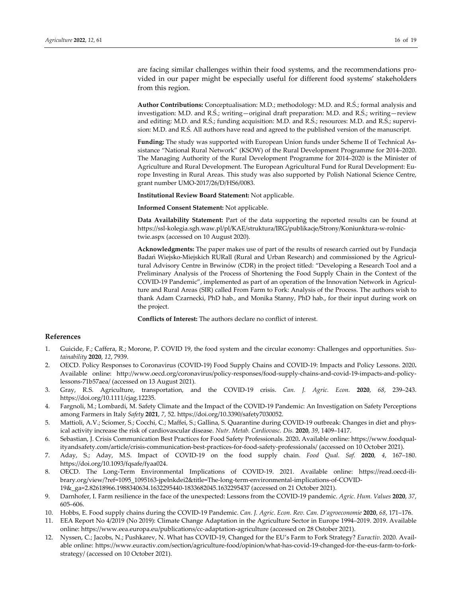are facing similar challenges within their food systems, and the recommendations provided in our paper might be especially useful for different food systems' stakeholders from this region.

**Author Contributions:** Conceptualisation: M.D.; methodology: M.D. and R.Ś.; formal analysis and investigation: M.D. and R.Ś.; writing—original draft preparation: M.D. and R.Ś.; writing—review and editing: M.D. and R.Ś.; funding acquisition: M.D. and R.Ś.; resources: M.D. and R.Ś.; supervision: M.D. and R.Ś. All authors have read and agreed to the published version of the manuscript.

**Funding:** The study was supported with European Union funds under Scheme II of Technical As‐ sistance "National Rural Network" (KSOW) of the Rural Development Programme for 2014–2020. The Managing Authority of the Rural Development Programme for 2014–2020 is the Minister of Agriculture and Rural Development. The European Agricultural Fund for Rural Development: Eu‐ rope Investing in Rural Areas. This study was also supported by Polish National Science Centre, grant number UMO‐2017/26/D/HS6/0083.

**Institutional Review Board Statement:** Not applicable.

**Informed Consent Statement:** Not applicable.

**Data Availability Statement:** Part of the data supporting the reported results can be found at https://ssl‐kolegia.sgh.waw.pl/pl/KAE/struktura/IRG/publikacje/Strony/Koniunktura‐w‐rolnic‐ twie.aspx (accessed on 10 August 2020).

**Acknowledgments:** The paper makes use of part of the results of research carried out by Fundacja Badań Wiejsko‐Miejskich RURall (Rural and Urban Research) and commissioned by the Agricul‐ tural Advisory Centre in Brwinów (CDR) in the project titled: "Developing a Research Tool and a Preliminary Analysis of the Process of Shortening the Food Supply Chain in the Context of the COVID-19 Pandemic", implemented as part of an operation of the Innovation Network in Agriculture and Rural Areas (SIR) called From Farm to Fork: Analysis of the Process. The authors wish to thank Adam Czarnecki, PhD hab., and Monika Stanny, PhD hab., for their input during work on the project.

**Conflicts of Interest:** The authors declare no conflict of interest.

### **References**

- 1. Guicide, F.; Caffera, R.; Morone, P. COVID 19, the food system and the circular economy: Challenges and opportunities. *Sus‐ tainability* **2020**, *12*, 7939.
- 2. OECD. Policy Responses to Coronavirus (COVID‐19) Food Supply Chains and COVID‐19: Impacts and Policy Lessons. 2020**.** Available online: http://www.oecd.org/coronavirus/policy‐responses/food‐supply‐chains‐and‐covid‐19‐impacts‐and‐policy‐ lessons‐71b57aea/ (accessed on 13 August 2021).
- 3. Gray, R.S. Agriculture, transportation, and the COVID‐19 crisis. *Can. J. Agric. Econ.* **2020**, *68*, 239–243. https://doi.org/10.1111/cjag.12235.
- 4. Fargnoli, M.; Lombardi, M. Safety Climate and the Impact of the COVID‐19 Pandemic: An Investigation on Safety Perceptions among Farmers in Italy *Safety* **2021**, *7*, 52. https://doi.org/10.3390/safety7030052.
- 5. Mattioli, A.V.; Sciomer, S.; Cocchi, C.; Maffei, S.; Gallina, S. Quarantine during COVID-19 outbreak: Changes in diet and physical activity increase the risk of cardiovascular disease. *Nutr. Metab. Cardiovasc. Dis.* **2020**, *39*, 1409–1417.
- 6. Sebastian, J. Crisis Communication Best Practices for Food Safety Professionals. 2020**.** Available online: https://www.foodqual‐ ityandsafety.com/article/crisis‐communication‐best‐practices‐for‐food‐safety‐professionals/ (accessed on 10 October 2021).
- 7. Aday, S.; Aday, M.S. Impact of COVID‐19 on the food supply chain. *Food Qual. Saf.* **2020**, *4*, 167–180. https://doi.org/10.1093/fqsafe/fyaa024.
- 8. OECD. The Long-Term Environmental Implications of COVID-19. 2021. Available online: https://read.oecd-ilibrary.org/view/?ref=1095\_1095163‐jpelnkdei2&title=The‐long‐term‐environmental‐implications‐of‐COVID‐ 19&\_ga=2.82618966.1988340634.1632295440‐1833682045.1632295437 (accessed on 21 October 2021).
- 9. Darnhofer, I. Farm resilience in the face of the unexpected: Lessons from the COVID‐19 pandemic. *Agric. Hum. Values* **2020**, *37*, 605–606.
- 10. Hobbs, E. Food supply chains during the COVID‐19 Pandemic. *Can. J. Agric. Econ. Rev. Can. D'agroeconomie* **2020**, *68*, 171–176.
- 11. EEA Report No 4/2019 (No 2019): Climate Change Adaptation in the Agriculture Sector in Europe 1994–2019. 2019. Available online: https://www.eea.europa.eu/publications/cc‐adaptation‐agriculture (accessed on 28 Ostober 2021).
- 12. Nyssen, C.; Jacobs, N.; Pushkarev, N. What has COVID‐19, Changed for the EU's Farm to Fork Strategy? *Euractiv.* 2020. Avail‐ able online: https://www.euractiv.com/section/agriculture-food/opinion/what-has-covid-19-changed-for-the-eus-farm-to-forkstrategy/ (accessed on 10 October 2021).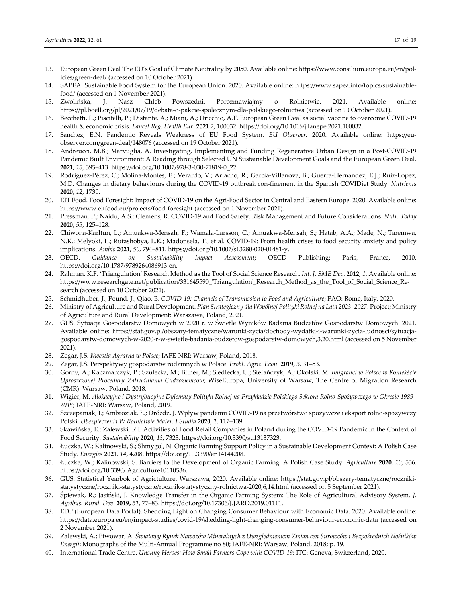- 13. European Green Deal The EU's Goal of Climate Neutrality by 2050. Available online: https://www.consilium.europa.eu/en/pol‐ icies/green‐deal/ (accessed on 10 October 2021).
- 14. SAPEA. Sustainable Food System for the European Union. 2020. Available online: https://www.sapea.info/topics/sustainable‐ food/ (accessed on 1 November 2021).
- 15. Zwolińska, J. Nasz Chleb Powszedni. Porozmawiajmy o Rolnictwie. 2021. Available online: https://pl.boell.org/pl/2021/07/19/debata‐o‐pakcie‐spolecznym‐dla‐polskiego‐rolnictwa (accessed on 10 October 2021).
- 16. Becchetti, L.; Piscitelli, P.; Distante, A.; Miani, A.; Uricchio, A.F. European Green Deal as social vaccine to overcome COVID‐19 health & economic crisis. *Lancet Reg. Health Eur*. **2021** *2*, 100032. https://doi.org/10.1016/j.lanepe.2021.100032.
- 17. Sanchez, E.N. Pandemic Reveals Weakness of EU Food System. *EU Observer*. 2020. Available online: https://euobserver.com/green‐deal/148076 (accessed on 19 October 2021).
- 18. Andreucci, M.B.; Marvuglia, A. Investigating, Implementing and Funding Regenerative Urban Design in a Post-COVID-19 Pandemic Built Environment: A Reading through Selected UN Sustainable Development Goals and the European Green Deal. **2021**, *15*, 395–413. https://doi.org/10.1007/978‐3‐030‐71819‐0\_22.
- 19. Rodríguez‐Pérez, C.; Molina‐Montes, E.; Verardo, V.; Artacho, R.; García‐Villanova, B.; Guerra‐Hernández, E.J.; Ruíz‐López, M.D. Changes in dietary behaviours during the COVID‐19 outbreak con‐finement in the Spanish COVIDiet Study*. Nutrients* **2020**, *12*, 1730.
- 20. EIT Food. Food Foresight: Impact of COVID‐19 on the Agri‐Food Sector in Central and Eastern Europe. 2020. Available online: https://www.eitfood.eu/projects/food‐foresight (accessed on 1 November 2021).
- 21. Pressman, P.; Naidu, A.S.; Clemens, R. COVID‐19 and Food Safety. Risk Management and Future Considerations. *Nutr. Today* **2020**, *55*, 125–128.
- 22. Chiwona‐Karltun, L.; Amuakwa‐Mensah, F.; Wamala‐Larsson, C.; Amuakwa‐Mensah, S.; Hatab, A.A.; Made, N.; Taremwa, N.K.; Melyoki, L.; Rutashobya, L.K.; Madonsela, T.; et al. COVID‐19: From health crises to food security anxiety and policy implications. *Ambio* **2021**, *50*, 794–811. https://doi.org/10.1007/s13280‐020‐01481‐y.
- 23. OECD. *Guidance on Sustainability Impact Assessment*; OECD Publishing: Paris, France, 2010. https://doi.org/10.1787/9789264086913‐en.
- 24. Rahman, K.F. 'Triangulation' Research Method as the Tool of Social Science Research. *Int. J. SME Dev.* **2012**, *1*. Available online: https://www.researchgate.net/publication/331645590\_ʹTriangulationʹ\_Research\_Method\_as\_the\_Tool\_of\_Social\_Science\_Re‐ search (accessed on 10 October 2021).
- 25. Schmidhuber, J.; Pound, J.; Qiao, B. *COVID‐19: Channels of Transmission to Food and Agriculture*; FAO: Rome, Italy, 2020.
- 26. Ministry of Agriculture and Rural Development. *Plan Strategiczny dla Wspólnej Polityki Rolnej na Lata 2023–2027*. Project; Ministry of Agriculture and Rural Development: Warszawa, Poland, 2021**.**
- 27. GUS. Sytuacja Gospodarstw Domowych w 2020 r. w Świetle Wyników Badania Budżetów Gospodarstw Domowych. 2021. Available online: https://stat.gov.pl/obszary‐tematyczne/warunki‐zycia/dochody‐wydatki‐i‐warunki‐zycia‐ludnosci/sytuacja‐ gospodarstw‐domowych‐w‐2020‐r‐w‐swietle‐badania‐budzetow‐gospodarstw‐domowych,3,20.html (accessed on 5 November 2021).
- 28. Zegar, J.S. *Kwestia Agrarna w Polsce*; IAFE‐NRI: Warsaw, Poland, 2018.
- 29. Zegar, J.S. Perspektywy gospodarstw rodzinnych w Polsce. *Probl. Agric. Econ.* **2019**, *3*, 31–53.
- 30. Górny, A.; Kaczmarczyk, P.; Szulecka, M.; Bitner, M.; Siedlecka, U.; Stefańczyk, A.; Okólski, M. *Imigranci w Polsce w Kontekście Uproszczonej Procedury Zatrudniania Cudzoziemców*; WiseEuropa, University of Warsaw, The Centre of Migration Research (CMR): Warsaw, Poland, 2018.
- 31. Wigier, M. Alokacyjne i Dystrybucyjne Dylematy Polityki Rolnej na Przykładzie Polskiego Sektora Rolno-Spożywczego w Okresie 1989– *2018*; IAFE‐NRI: Warsaw, Poland, 2019.
- 32. Szczepaniak, I.; Ambroziak, Ł.; Dróżdż, J. Wpływ pandemii COVID‐19 na przetwórstwo spożywcze i eksport rolno‐spożywczy Polski. *Ubezpieczenia W Rolnictwie Mater. I Studia* **2020**, *1*, 117–139.
- 33. Skawińska, E.; Zalewski, R.I. Activities of Food Retail Companies in Poland during the COVID‐19 Pandemic in the Context of Food Security. *Sustainability* **2020**, *13*, 7323. https://doi.org/10.3390/su13137323.
- 34. Łuczka, W.; Kalinowski, S.; Shmygol, N. Organic Farming Support Policy in a Sustainable Development Context: A Polish Case Study. *Energies* **2021**, *14*, 4208. https://doi.org/10.3390/en14144208.
- 35. Łuczka, W.; Kalinowski, S. Barriers to the Development of Organic Farming: A Polish Case Study. *Agriculture* **2020**, *10*, 536. https://doi.org/10.3390/ Agriculture10110536.
- 36. GUS. Statistical Yearbok of Agrictulture. Warszawa, 2020**.** Available online: https://stat.gov.pl/obszary‐tematyczne/roczniki‐ statystyczne/roczniki‐statystyczne/rocznik‐statystyczny‐rolnictwa‐2020,6,14.html (accessed on 5 September 2021).
- 37. Śpiewak, R.; Jasiński, J. Knowledge Transfer in the Organic Farming System: The Role of Agricultural Advisory System. *J. Agribus. Rural. Dev.* **2019,** *51*, 77–83. https://doi.org/10.17306/J.JARD.2019.01111.
- 38. EDP (European Data Portal). Shedding Light on Changing Consumer Behaviour with Economic Data. 2020. Available online: https://data.europa.eu/en/impact‐studies/covid‐19/shedding‐light‐changing‐consumer‐behaviour‐economic‐data (accessed on 2 November 2021).
- 39. Zalewski, A.; Piwowar, A. Światowy Rynek Nawozów Mineralnych z Uwzględnieniem Zmian cen Surowców i Bezpośrednich Nośników *Energii*; Monographs of the Multi‐Annual Programme no 80; IAFE‐NRI: Warsaw, Poland, 2018**;** p. 19.
- 40. International Trade Centre. *Unsung Heroes: How Small Farmers Cope with COVID‐19*; ITC: Geneva, Switzerland, 2020.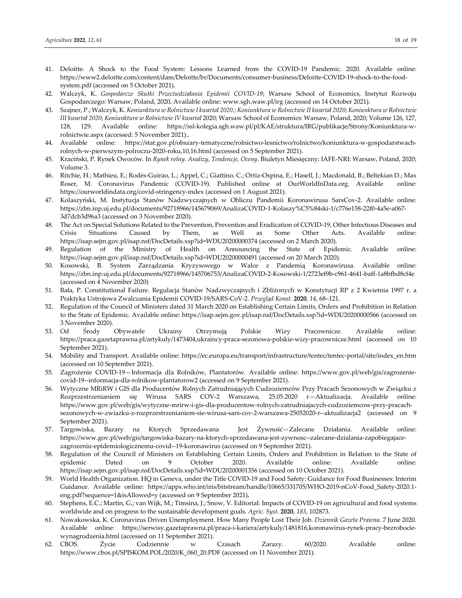- 41. Deloitte. A Shock to the Food System: Lessons Learned from the COVID‐19 Pandemic. 2020. Available online: https://www2.deloitte.com/content/dam/Deloitte/br/Documents/consumer‐business/Deloitte‐COVID‐19‐shock‐to‐the‐food‐ system.pdf (accessed on 5 October 2021).
- 42. Walczyk, K. *Gospodarcze Skutki Przeciwdziałania Epidemii COVID‐19*; Warsaw School of Economics, Instytut Rozwoju Gospodarczego: Warsaw, Poland, 2020**.** Available online: www.sgh.waw.pl/irg (accessed on 14 October 2021).
- 43. Szajner, P.; Walczyk, K. Koniunktura w Rolnictwie I kwartał 2020.; Koniunktura w Rolnictwie II kwartał 2020; Koniunktura w Rolnictwie *III kwartał 2020*; *Koniunktura w Rolnictwie IV kwartał* 2020; Warsaw School of Economics: Warsaw, Poland, 2020; Volume 126, 127, 128, 129. Available online: https://ssl‐kolegia.sgh.waw.pl/pl/KAE/struktura/IRG/publikacje/Strony/Koniunktura‐w‐ rolnictwie.aspx (accessed: 5 November 2021)..
- 44. Available online: https://stat.gov.pl/obszary-tematyczne/rolnictwo-lesnictwo/rolnictwo/koniunktura-w-gospodarstwachrolnych‐w‐pierwszym‐polroczu‐2020‐roku,10,16.html (accessed on 5 September 2021).
- 45. Kraciński, P. Rynek Owoców. In *Rynek rolny. Analizy, Tendencje, Oceny*. Biuletyn Miesięczny; IAFE‐NRI: Warsaw, Poland, 2020; Volume 3.
- 46. Ritchie, H.; Mathieu, E.; Rodés‐Guirao, L.; Appel, C.; Giattino, C.; Ortiz‐Ospina, E.; Hasell, J.; Macdonald, B.; Beltekian D.; Max Roser, M. Coronavirus Pandemic (COVID‐19). Published online at OurWorldInData.org. Available online: https://ourworldindata.org/covid‐stringency‐index (accessed on 1 August 2021).
- 47. Kolaszyński, M. Instytucja Stanów Nadzwyczajnych w Obliczu Pandemii Koronawirusa SarsCov‐2. Available online: https://zbn.inp.uj.edu.pl/documents/92718966/145679069/AnalizaCOVID‐1‐Kolaszy%C5%84ski‐1/c776e158‐22f0‐4a5e‐a067‐ 3d7dcb3d96a3 (accessed on 3 November 2020).
- 48. The Act on Special Solutions Related to the Prevention, Prevention and Eradication of COVID‐19, Other Infectious Diseases and Crisis Situations Caused by Them, as Well as Some Other Acts. Available online: https://isap.sejm.gov.pl/isap.nsf/DocDetails.xsp?id=WDU20200000374 (accessed on 2 March 2020).
- 49. Regulation of the Ministry of Health on Announcing the State of Epidemic. Available online: https://isap.sejm.gov.pl/isap.nsf/DocDetails.xsp?id=WDU20200000491 (accessed on 20 March 2020).
- 50. Kosowski, B. System Zarządzania Kryzysowego w Walce z Pandemią Koronawirusa. Available online: https://zbn.inp.uj.edu.pl/documents/92718966/145706753/AnalizaCOVID‐2‐Kosowski‐1/2723ef9b‐c961‐4641‐baff‐1a8bfbd8cf4e (accessed on 4 November 2020)
- 51. Bała, P. Constitutional Failure. Regulacja Stanów Nadzwyczajnych i Zbliżonych w Konstytucji RP z 2 Kwietnia 1997 r. a Praktyka Ustrojowa Zwalczania Epidemii COVID‐19/SARS‐CoV‐2. *Przegląd Konst.* **2020**, *14*, 68–121.
- 52. Regulation of the Council of Ministers dated 31 March 2020 on Establishing Certain Limits, Orders and Prohibition in Relation to the State of Epidemic. Available online: https://isap.sejm.gov.pl/isap.nsf/DocDetails.xsp?id=WDU20200000566 (accessed on 3 November 2020).
- 53. Od Środy Obywatele Ukrainy Otrzymują Polskie Wizy Pracownicze. Available online: https://praca.gazetaprawna.pl/artykuly/1473404,ukraincy‐praca‐sezonowa‐polskie‐wizy‐pracownicze.html (accessed on 10 September 2021).
- 54. Mobility and Transport. Available online: https://ec.europa.eu/transport/infrastructure/tentec/tentec‐portal/site/index\_en.htm (accessed on 10 September 2021).
- 55. Zagrożenie COVID‐19—Informacja dla Rolników, Plantatorów. Available online: https://www.gov.pl/web/gis/zagrozenie‐ covid‐19‐‐informacja‐dla‐rolnikow‐plantatorow2 (accessed on 9 September 2021).
- 56. Wytyczne MRiRW i GIS dla Producentów Rolnych Zatrudniających Cudzoziemców Przy Pracach Sezonowych w Związku z Rozprzestrzenianiem się Wirusa SARS COV‐2 Warszawa, 25.05.2020 r—Aktualizacja. Available online: https://www.gov.pl/web/gis/wytyczne‐mrirw‐i‐gis‐dla‐producentow‐rolnych‐zatrudniajacych‐cudzoziemcow‐przy‐pracach‐ sezonowych‐w‐zwiazku‐z‐rozprzestrzenianiem‐sie‐wirusa‐sars‐cov‐2‐warszawa‐25052020‐r‐-aktualizacja2 (accessed on 9 September 2021).
- 57. Targowiska, Bazary na Ktorych Sprzedawana Jest Żywność—Zalecane Działania. Available online: https://www.gov.pl/web/gis/targowiska‐bazary‐na‐ktorych‐sprzedawana‐jest‐zywnosc‐‐zalecane‐dzialania‐zapobiegajace‐ zagrozeniu‐epidemiologicznemu‐covid‐‐19‐koronawirus (accessed on 9 September 2021).
- 58. Regulation of the Council of Ministers on Establishing Certain Limits, Orders and Prohibition in Relation to the State of epidemic Dated on 9 October 2020. Available online: Available online: https://isap.sejm.gov.pl/isap.nsf/DocDetails.xsp?id=WDU20200001356 (accessed on 10 October 2021).
- 59. World Health Organization. HQ in Geneva, under the Title COVID‐19 and Food Safety: Guidance for Food Businesses: Interim Guidance. Available online: https://apps.who.int/iris/bitstream/handle/10665/331705/WHO‐2019‐nCoV‐Food\_Safety‐2020.1‐ eng.pdf?sequence=1&isAllowed=y (accessed on 9 September 2021)**.**
- 60. Stephens, E.C.; Martin, G.; van Wijk, M.; Timsina, J.; Snow, V. Editorial: Impacts of COVID‐19 on agricultural and food systems worldwide and on progress to the sustainable development goals. *Agric. Syst.* **2020**, *183*, 102873.
- 61. Nowakowska, K. Coronavirus Driven Unemployment. How Many People Lost Their Job. *Dziennik Gazeta Prawna*. 7 June 2020. Available online: https://serwisy.gazetaprawna.pl/praca‐i‐kariera/artykuly/1481816,koronawirus‐rynek‐pracy‐bezrobocie‐ wynagrodzenia.html (accessed on 11 September 2021).
- 62. CBOS. Życie Codziennie w Czasach Zarazy. 60/2020. Available online: https://www.cbos.pl/SPISKOM.POL/2020/K\_060\_20.PDF (accessed on 11 November 2021).